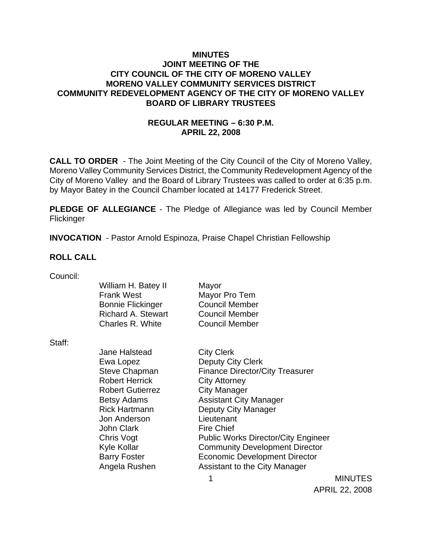### **MINUTES JOINT MEETING OF THE CITY COUNCIL OF THE CITY OF MORENO VALLEY MORENO VALLEY COMMUNITY SERVICES DISTRICT COMMUNITY REDEVELOPMENT AGENCY OF THE CITY OF MORENO VALLEY BOARD OF LIBRARY TRUSTEES**

# **REGULAR MEETING – 6:30 P.M. APRIL 22, 2008**

**CALL TO ORDER** - The Joint Meeting of the City Council of the City of Moreno Valley, Moreno Valley Community Services District, the Community Redevelopment Agency of the City of Moreno Valley and the Board of Library Trustees was called to order at 6:35 p.m. by Mayor Batey in the Council Chamber located at 14177 Frederick Street.

**PLEDGE OF ALLEGIANCE** - The Pledge of Allegiance was led by Council Member **Flickinger** 

**INVOCATION** - Pastor Arnold Espinoza, Praise Chapel Christian Fellowship

### **ROLL CALL**

| Council: |  |
|----------|--|
|          |  |

|        | William H. Batey II<br><b>Frank West</b><br><b>Bonnie Flickinger</b><br><b>Richard A. Stewart</b><br>Charles R. White | Mayor<br>Mayor Pro Tem<br><b>Council Member</b><br><b>Council Member</b><br><b>Council Member</b> |                |
|--------|-----------------------------------------------------------------------------------------------------------------------|---------------------------------------------------------------------------------------------------|----------------|
| Staff: |                                                                                                                       |                                                                                                   |                |
|        | <b>Jane Halstead</b>                                                                                                  | <b>City Clerk</b>                                                                                 |                |
|        | Ewa Lopez                                                                                                             | <b>Deputy City Clerk</b>                                                                          |                |
|        | <b>Steve Chapman</b>                                                                                                  | <b>Finance Director/City Treasurer</b>                                                            |                |
|        | <b>Robert Herrick</b>                                                                                                 | <b>City Attorney</b>                                                                              |                |
|        | <b>Robert Gutierrez</b>                                                                                               | <b>City Manager</b>                                                                               |                |
|        | Betsy Adams                                                                                                           | <b>Assistant City Manager</b>                                                                     |                |
|        | <b>Rick Hartmann</b>                                                                                                  | Deputy City Manager                                                                               |                |
|        | Jon Anderson                                                                                                          | Lieutenant                                                                                        |                |
|        | <b>John Clark</b>                                                                                                     | <b>Fire Chief</b>                                                                                 |                |
|        | Chris Vogt                                                                                                            | <b>Public Works Director/City Engineer</b>                                                        |                |
|        | Kyle Kollar                                                                                                           | <b>Community Development Director</b>                                                             |                |
|        | <b>Barry Foster</b>                                                                                                   | <b>Economic Development Director</b>                                                              |                |
|        | Angela Rushen                                                                                                         | Assistant to the City Manager                                                                     |                |
|        |                                                                                                                       | 4                                                                                                 | <b>MINUTES</b> |

APRIL 22, 2008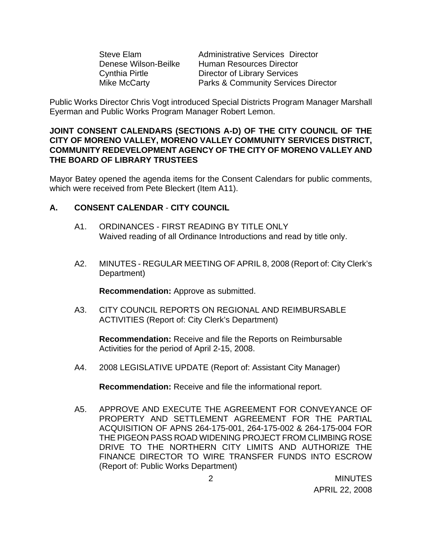| <b>Steve Elam</b>     |  |
|-----------------------|--|
| Denese Wilson-Beilke  |  |
| <b>Cynthia Pirtle</b> |  |
| Mike McCarty          |  |

Administrative Services Director Human Resources Director Director of Library Services Parks & Community Services Director

Public Works Director Chris Vogt introduced Special Districts Program Manager Marshall Eyerman and Public Works Program Manager Robert Lemon.

#### **JOINT CONSENT CALENDARS (SECTIONS A-D) OF THE CITY COUNCIL OF THE CITY OF MORENO VALLEY, MORENO VALLEY COMMUNITY SERVICES DISTRICT, COMMUNITY REDEVELOPMENT AGENCY OF THE CITY OF MORENO VALLEY AND THE BOARD OF LIBRARY TRUSTEES**

Mayor Batey opened the agenda items for the Consent Calendars for public comments, which were received from Pete Bleckert (Item A11).

### **A. CONSENT CALENDAR** - **CITY COUNCIL**

- A1. ORDINANCES FIRST READING BY TITLE ONLY Waived reading of all Ordinance Introductions and read by title only.
- A2. MINUTES REGULAR MEETING OF APRIL 8, 2008 (Report of: City Clerk's Department)

**Recommendation:** Approve as submitted.

A3. CITY COUNCIL REPORTS ON REGIONAL AND REIMBURSABLE ACTIVITIES (Report of: City Clerk's Department)

**Recommendation:** Receive and file the Reports on Reimbursable Activities for the period of April 2-15, 2008.

A4. 2008 LEGISLATIVE UPDATE (Report of: Assistant City Manager)

**Recommendation:** Receive and file the informational report.

A5. APPROVE AND EXECUTE THE AGREEMENT FOR CONVEYANCE OF PROPERTY AND SETTLEMENT AGREEMENT FOR THE PARTIAL ACQUISITION OF APNS 264-175-001, 264-175-002 & 264-175-004 FOR THE PIGEON PASS ROAD WIDENING PROJECT FROM CLIMBING ROSE DRIVE TO THE NORTHERN CITY LIMITS AND AUTHORIZE THE FINANCE DIRECTOR TO WIRE TRANSFER FUNDS INTO ESCROW (Report of: Public Works Department)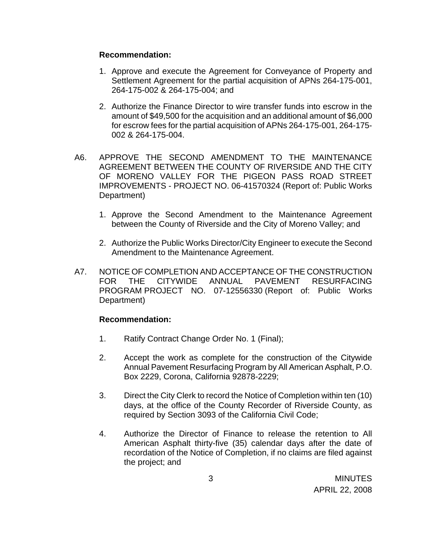#### **Recommendation:**

- 1. Approve and execute the Agreement for Conveyance of Property and Settlement Agreement for the partial acquisition of APNs 264-175-001, 264-175-002 & 264-175-004; and
- 2. Authorize the Finance Director to wire transfer funds into escrow in the amount of \$49,500 for the acquisition and an additional amount of \$6,000 for escrow fees for the partial acquisition of APNs 264-175-001, 264-175- 002 & 264-175-004.
- A6. APPROVE THE SECOND AMENDMENT TO THE MAINTENANCE AGREEMENT BETWEEN THE COUNTY OF RIVERSIDE AND THE CITY OF MORENO VALLEY FOR THE PIGEON PASS ROAD STREET IMPROVEMENTS - PROJECT NO. 06-41570324 (Report of: Public Works Department)
	- 1. Approve the Second Amendment to the Maintenance Agreement between the County of Riverside and the City of Moreno Valley; and
	- 2. Authorize the Public Works Director/City Engineer to execute the Second Amendment to the Maintenance Agreement.
- A7. NOTICE OF COMPLETION AND ACCEPTANCE OF THE CONSTRUCTION FOR THE CITYWIDE ANNUAL PAVEMENT RESURFACING PROGRAM PROJECT NO. 07-12556330 (Report of: Public Works Department)

### **Recommendation:**

- 1. Ratify Contract Change Order No. 1 (Final);
- 2. Accept the work as complete for the construction of the Citywide Annual Pavement Resurfacing Program by All American Asphalt, P.O. Box 2229, Corona, California 92878-2229;
- 3. Direct the City Clerk to record the Notice of Completion within ten (10) days, at the office of the County Recorder of Riverside County, as required by Section 3093 of the California Civil Code;
- 4. Authorize the Director of Finance to release the retention to All American Asphalt thirty-five (35) calendar days after the date of recordation of the Notice of Completion, if no claims are filed against the project; and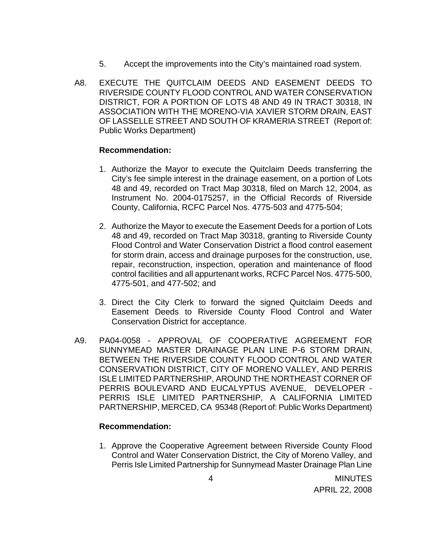- 5. Accept the improvements into the City's maintained road system.
- A8. EXECUTE THE QUITCLAIM DEEDS AND EASEMENT DEEDS TO RIVERSIDE COUNTY FLOOD CONTROL AND WATER CONSERVATION DISTRICT, FOR A PORTION OF LOTS 48 AND 49 IN TRACT 30318, IN ASSOCIATION WITH THE MORENO-VIA XAVIER STORM DRAIN, EAST OF LASSELLE STREET AND SOUTH OF KRAMERIA STREET (Report of: Public Works Department)

#### **Recommendation:**

- 1. Authorize the Mayor to execute the Quitclaim Deeds transferring the City's fee simple interest in the drainage easement, on a portion of Lots 48 and 49, recorded on Tract Map 30318, filed on March 12, 2004, as Instrument No. 2004-0175257, in the Official Records of Riverside County, California, RCFC Parcel Nos. 4775-503 and 4775-504;
- 2. Authorize the Mayor to execute the Easement Deeds for a portion of Lots 48 and 49, recorded on Tract Map 30318, granting to Riverside County Flood Control and Water Conservation District a flood control easement for storm drain, access and drainage purposes for the construction, use, repair, reconstruction, inspection, operation and maintenance of flood control facilities and all appurtenant works, RCFC Parcel Nos. 4775-500, 4775-501, and 477-502; and
- 3. Direct the City Clerk to forward the signed Quitclaim Deeds and Easement Deeds to Riverside County Flood Control and Water Conservation District for acceptance.
- A9. PA04-0058 APPROVAL OF COOPERATIVE AGREEMENT FOR SUNNYMEAD MASTER DRAINAGE PLAN LINE P-6 STORM DRAIN, BETWEEN THE RIVERSIDE COUNTY FLOOD CONTROL AND WATER CONSERVATION DISTRICT, CITY OF MORENO VALLEY, AND PERRIS ISLE LIMITED PARTNERSHIP, AROUND THE NORTHEAST CORNER OF PERRIS BOULEVARD AND EUCALYPTUS AVENUE, DEVELOPER - PERRIS ISLE LIMITED PARTNERSHIP, A CALIFORNIA LIMITED PARTNERSHIP, MERCED, CA 95348 (Report of: Public Works Department)

### **Recommendation:**

1. Approve the Cooperative Agreement between Riverside County Flood Control and Water Conservation District, the City of Moreno Valley, and Perris Isle Limited Partnership for Sunnymead Master Drainage Plan Line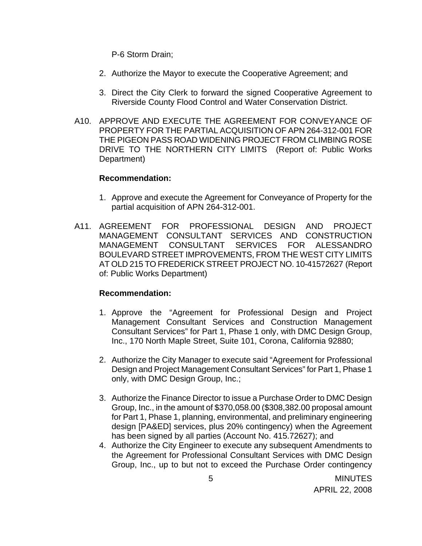P-6 Storm Drain;

- 2. Authorize the Mayor to execute the Cooperative Agreement; and
- 3. Direct the City Clerk to forward the signed Cooperative Agreement to Riverside County Flood Control and Water Conservation District.
- A10. APPROVE AND EXECUTE THE AGREEMENT FOR CONVEYANCE OF PROPERTY FOR THE PARTIAL ACQUISITION OF APN 264-312-001 FOR THE PIGEON PASS ROAD WIDENING PROJECT FROM CLIMBING ROSE DRIVE TO THE NORTHERN CITY LIMITS (Report of: Public Works Department)

#### **Recommendation:**

- 1. Approve and execute the Agreement for Conveyance of Property for the partial acquisition of APN 264-312-001.
- A11. AGREEMENT FOR PROFESSIONAL DESIGN AND PROJECT MANAGEMENT CONSULTANT SERVICES AND CONSTRUCTION MANAGEMENT CONSULTANT SERVICES FOR ALESSANDRO BOULEVARD STREET IMPROVEMENTS, FROM THE WEST CITY LIMITS AT OLD 215 TO FREDERICK STREET PROJECT NO. 10-41572627 (Report of: Public Works Department)

### **Recommendation:**

- 1. Approve the "Agreement for Professional Design and Project Management Consultant Services and Construction Management Consultant Services" for Part 1, Phase 1 only, with DMC Design Group, Inc., 170 North Maple Street, Suite 101, Corona, California 92880;
- 2. Authorize the City Manager to execute said "Agreement for Professional Design and Project Management Consultant Services" for Part 1, Phase 1 only, with DMC Design Group, Inc.;
- 3. Authorize the Finance Director to issue a Purchase Order to DMC Design Group, Inc., in the amount of \$370,058.00 (\$308,382.00 proposal amount for Part 1, Phase 1, planning, environmental, and preliminary engineering design [PA&ED] services, plus 20% contingency) when the Agreement has been signed by all parties (Account No. 415.72627); and
- 4. Authorize the City Engineer to execute any subsequent Amendments to the Agreement for Professional Consultant Services with DMC Design Group, Inc., up to but not to exceed the Purchase Order contingency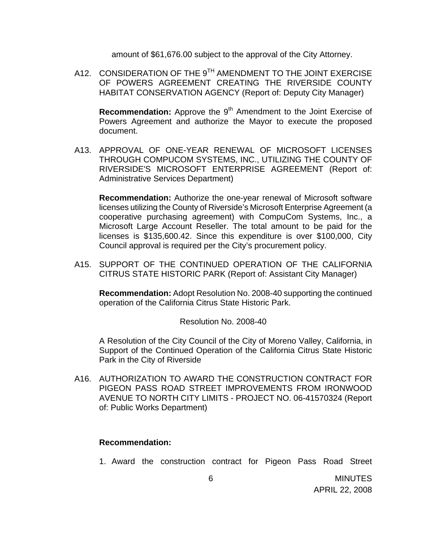amount of \$61,676.00 subject to the approval of the City Attorney.

A12. CONSIDERATION OF THE 9<sup>TH</sup> AMENDMENT TO THE JOINT EXERCISE OF POWERS AGREEMENT CREATING THE RIVERSIDE COUNTY HABITAT CONSERVATION AGENCY (Report of: Deputy City Manager)

**Recommendation:** Approve the 9<sup>th</sup> Amendment to the Joint Exercise of Powers Agreement and authorize the Mayor to execute the proposed document.

A13. APPROVAL OF ONE-YEAR RENEWAL OF MICROSOFT LICENSES THROUGH COMPUCOM SYSTEMS, INC., UTILIZING THE COUNTY OF RIVERSIDE'S MICROSOFT ENTERPRISE AGREEMENT (Report of: Administrative Services Department)

**Recommendation:** Authorize the one-year renewal of Microsoft software licenses utilizing the County of Riverside's Microsoft Enterprise Agreement (a cooperative purchasing agreement) with CompuCom Systems, Inc., a Microsoft Large Account Reseller. The total amount to be paid for the licenses is \$135,600.42. Since this expenditure is over \$100,000, City Council approval is required per the City's procurement policy.

A15. SUPPORT OF THE CONTINUED OPERATION OF THE CALIFORNIA CITRUS STATE HISTORIC PARK (Report of: Assistant City Manager)

**Recommendation:** Adopt Resolution No. 2008-40 supporting the continued operation of the California Citrus State Historic Park.

Resolution No. 2008-40

A Resolution of the City Council of the City of Moreno Valley, California, in Support of the Continued Operation of the California Citrus State Historic Park in the City of Riverside

A16. AUTHORIZATION TO AWARD THE CONSTRUCTION CONTRACT FOR PIGEON PASS ROAD STREET IMPROVEMENTS FROM IRONWOOD AVENUE TO NORTH CITY LIMITS - PROJECT NO. 06-41570324 (Report of: Public Works Department)

#### **Recommendation:**

1. Award the construction contract for Pigeon Pass Road Street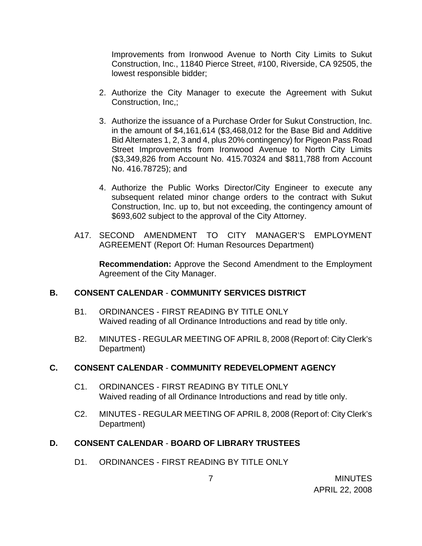Improvements from Ironwood Avenue to North City Limits to Sukut Construction, Inc., 11840 Pierce Street, #100, Riverside, CA 92505, the lowest responsible bidder;

- 2. Authorize the City Manager to execute the Agreement with Sukut Construction, Inc,;
- 3. Authorize the issuance of a Purchase Order for Sukut Construction, Inc. in the amount of \$4,161,614 (\$3,468,012 for the Base Bid and Additive Bid Alternates 1, 2, 3 and 4, plus 20% contingency) for Pigeon Pass Road Street Improvements from Ironwood Avenue to North City Limits (\$3,349,826 from Account No. 415.70324 and \$811,788 from Account No. 416.78725); and
- 4. Authorize the Public Works Director/City Engineer to execute any subsequent related minor change orders to the contract with Sukut Construction, Inc. up to, but not exceeding, the contingency amount of \$693,602 subject to the approval of the City Attorney.
- A17. SECOND AMENDMENT TO CITY MANAGER'S EMPLOYMENT AGREEMENT (Report Of: Human Resources Department)

 **Recommendation:** Approve the Second Amendment to the Employment Agreement of the City Manager.

# **B. CONSENT CALENDAR** - **COMMUNITY SERVICES DISTRICT**

- B1. ORDINANCES FIRST READING BY TITLE ONLY Waived reading of all Ordinance Introductions and read by title only.
- B2. MINUTES REGULAR MEETING OF APRIL 8, 2008 (Report of: City Clerk's Department)

# **C. CONSENT CALENDAR** - **COMMUNITY REDEVELOPMENT AGENCY**

- C1. ORDINANCES FIRST READING BY TITLE ONLY Waived reading of all Ordinance Introductions and read by title only.
- C2. MINUTES REGULAR MEETING OF APRIL 8, 2008 (Report of: City Clerk's Department)

# **D. CONSENT CALENDAR** - **BOARD OF LIBRARY TRUSTEES**

D1. ORDINANCES - FIRST READING BY TITLE ONLY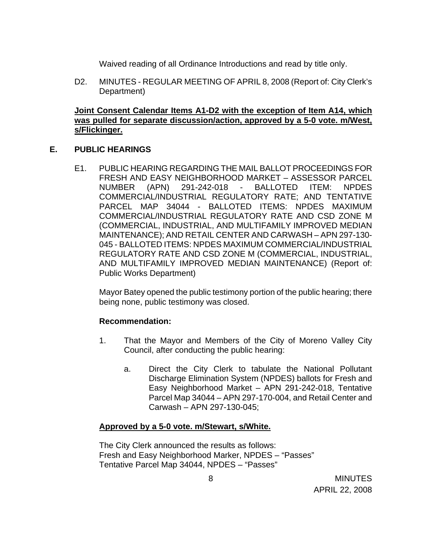Waived reading of all Ordinance Introductions and read by title only.

D2. MINUTES - REGULAR MEETING OF APRIL 8, 2008 (Report of: City Clerk's Department)

### **Joint Consent Calendar Items A1-D2 with the exception of Item A14, which was pulled for separate discussion/action, approved by a 5-0 vote. m/West, s/Flickinger.**

### **E. PUBLIC HEARINGS**

E1. PUBLIC HEARING REGARDING THE MAIL BALLOT PROCEEDINGS FOR FRESH AND EASY NEIGHBORHOOD MARKET – ASSESSOR PARCEL NUMBER (APN) 291-242-018 - BALLOTED ITEM: NPDES COMMERCIAL/INDUSTRIAL REGULATORY RATE; AND TENTATIVE PARCEL MAP 34044 - BALLOTED ITEMS: NPDES MAXIMUM COMMERCIAL/INDUSTRIAL REGULATORY RATE AND CSD ZONE M (COMMERCIAL, INDUSTRIAL, AND MULTIFAMILY IMPROVED MEDIAN MAINTENANCE); AND RETAIL CENTER AND CARWASH – APN 297-130- 045 - BALLOTED ITEMS: NPDES MAXIMUM COMMERCIAL/INDUSTRIAL REGULATORY RATE AND CSD ZONE M (COMMERCIAL, INDUSTRIAL, AND MULTIFAMILY IMPROVED MEDIAN MAINTENANCE) (Report of: Public Works Department)

Mayor Batey opened the public testimony portion of the public hearing; there being none, public testimony was closed.

### **Recommendation:**

- 1. That the Mayor and Members of the City of Moreno Valley City Council, after conducting the public hearing:
	- a. Direct the City Clerk to tabulate the National Pollutant Discharge Elimination System (NPDES) ballots for Fresh and Easy Neighborhood Market – APN 291-242-018, Tentative Parcel Map 34044 – APN 297-170-004, and Retail Center and Carwash – APN 297-130-045;

### **Approved by a 5-0 vote. m/Stewart, s/White.**

The City Clerk announced the results as follows: Fresh and Easy Neighborhood Marker, NPDES – "Passes" Tentative Parcel Map 34044, NPDES – "Passes"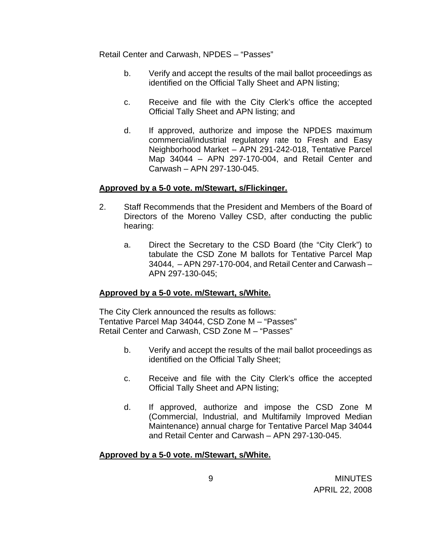Retail Center and Carwash, NPDES – "Passes"

- b. Verify and accept the results of the mail ballot proceedings as identified on the Official Tally Sheet and APN listing;
- c. Receive and file with the City Clerk's office the accepted Official Tally Sheet and APN listing; and
- d. If approved, authorize and impose the NPDES maximum commercial/industrial regulatory rate to Fresh and Easy Neighborhood Market – APN 291-242-018, Tentative Parcel Map 34044 – APN 297-170-004, and Retail Center and Carwash – APN 297-130-045.

### **Approved by a 5-0 vote. m/Stewart, s/Flickinger.**

- 2. Staff Recommends that the President and Members of the Board of Directors of the Moreno Valley CSD, after conducting the public hearing:
	- a. Direct the Secretary to the CSD Board (the "City Clerk") to tabulate the CSD Zone M ballots for Tentative Parcel Map 34044, – APN 297-170-004, and Retail Center and Carwash – APN 297-130-045;

# **Approved by a 5-0 vote. m/Stewart, s/White.**

The City Clerk announced the results as follows: Tentative Parcel Map 34044, CSD Zone M – "Passes" Retail Center and Carwash, CSD Zone M – "Passes"

- b. Verify and accept the results of the mail ballot proceedings as identified on the Official Tally Sheet;
- c. Receive and file with the City Clerk's office the accepted Official Tally Sheet and APN listing;
- d. If approved, authorize and impose the CSD Zone M (Commercial, Industrial, and Multifamily Improved Median Maintenance) annual charge for Tentative Parcel Map 34044 and Retail Center and Carwash – APN 297-130-045.

# **Approved by a 5-0 vote. m/Stewart, s/White.**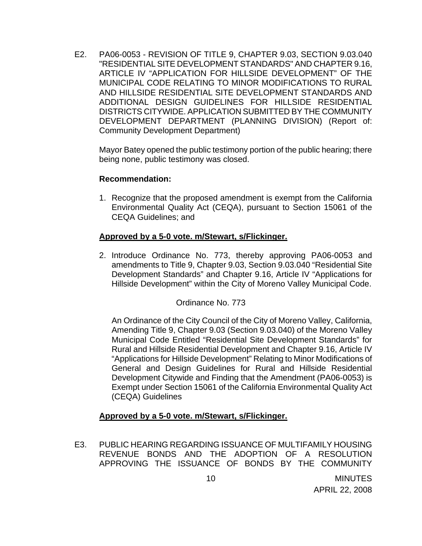E2. PA06-0053 - REVISION OF TITLE 9, CHAPTER 9.03, SECTION 9.03.040 "RESIDENTIAL SITE DEVELOPMENT STANDARDS" AND CHAPTER 9.16, ARTICLE IV "APPLICATION FOR HILLSIDE DEVELOPMENT" OF THE MUNICIPAL CODE RELATING TO MINOR MODIFICATIONS TO RURAL AND HILLSIDE RESIDENTIAL SITE DEVELOPMENT STANDARDS AND ADDITIONAL DESIGN GUIDELINES FOR HILLSIDE RESIDENTIAL DISTRICTS CITYWIDE. APPLICATION SUBMITTED BY THE COMMUNITY DEVELOPMENT DEPARTMENT (PLANNING DIVISION) (Report of: Community Development Department)

Mayor Batey opened the public testimony portion of the public hearing; there being none, public testimony was closed.

### **Recommendation:**

1. Recognize that the proposed amendment is exempt from the California Environmental Quality Act (CEQA), pursuant to Section 15061 of the CEQA Guidelines; and

### **Approved by a 5-0 vote. m/Stewart, s/Flickinger.**

2. Introduce Ordinance No. 773, thereby approving PA06-0053 and amendments to Title 9, Chapter 9.03, Section 9.03.040 "Residential Site Development Standards" and Chapter 9.16, Article IV "Applications for Hillside Development" within the City of Moreno Valley Municipal Code.

# Ordinance No. 773

An Ordinance of the City Council of the City of Moreno Valley, California, Amending Title 9, Chapter 9.03 (Section 9.03.040) of the Moreno Valley Municipal Code Entitled "Residential Site Development Standards" for Rural and Hillside Residential Development and Chapter 9.16, Article IV "Applications for Hillside Development" Relating to Minor Modifications of General and Design Guidelines for Rural and Hillside Residential Development Citywide and Finding that the Amendment (PA06-0053) is Exempt under Section 15061 of the California Environmental Quality Act (CEQA) Guidelines

### **Approved by a 5-0 vote. m/Stewart, s/Flickinger.**

E3. PUBLIC HEARING REGARDING ISSUANCE OF MULTIFAMILY HOUSING REVENUE BONDS AND THE ADOPTION OF A RESOLUTION APPROVING THE ISSUANCE OF BONDS BY THE COMMUNITY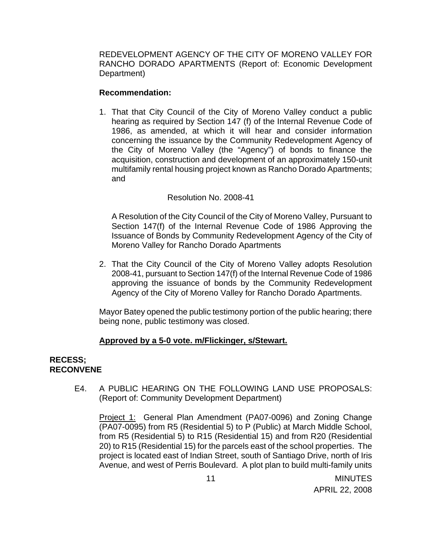REDEVELOPMENT AGENCY OF THE CITY OF MORENO VALLEY FOR RANCHO DORADO APARTMENTS (Report of: Economic Development Department)

#### **Recommendation:**

1. That that City Council of the City of Moreno Valley conduct a public hearing as required by Section 147 (f) of the Internal Revenue Code of 1986, as amended, at which it will hear and consider information concerning the issuance by the Community Redevelopment Agency of the City of Moreno Valley (the "Agency") of bonds to finance the acquisition, construction and development of an approximately 150-unit multifamily rental housing project known as Rancho Dorado Apartments; and

### Resolution No. 2008-41

A Resolution of the City Council of the City of Moreno Valley, Pursuant to Section 147(f) of the Internal Revenue Code of 1986 Approving the Issuance of Bonds by Community Redevelopment Agency of the City of Moreno Valley for Rancho Dorado Apartments

2. That the City Council of the City of Moreno Valley adopts Resolution 2008-41, pursuant to Section 147(f) of the Internal Revenue Code of 1986 approving the issuance of bonds by the Community Redevelopment Agency of the City of Moreno Valley for Rancho Dorado Apartments.

Mayor Batey opened the public testimony portion of the public hearing; there being none, public testimony was closed.

### **Approved by a 5-0 vote. m/Flickinger, s/Stewart.**

#### **RECESS; RECONVENE**

E4. A PUBLIC HEARING ON THE FOLLOWING LAND USE PROPOSALS: (Report of: Community Development Department)

 Project 1: General Plan Amendment (PA07-0096) and Zoning Change (PA07-0095) from R5 (Residential 5) to P (Public) at March Middle School, from R5 (Residential 5) to R15 (Residential 15) and from R20 (Residential 20) to R15 (Residential 15) for the parcels east of the school properties. The project is located east of Indian Street, south of Santiago Drive, north of Iris Avenue, and west of Perris Boulevard. A plot plan to build multi-family units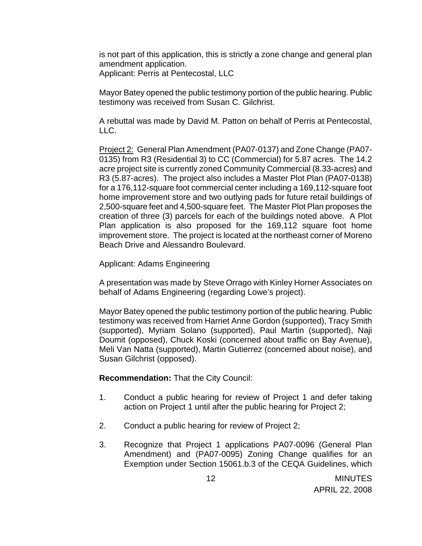is not part of this application, this is strictly a zone change and general plan amendment application.

Applicant: Perris at Pentecostal, LLC

Mayor Batey opened the public testimony portion of the public hearing. Public testimony was received from Susan C. Gilchrist.

A rebuttal was made by David M. Patton on behalf of Perris at Pentecostal, LLC.

 Project 2: General Plan Amendment (PA07-0137) and Zone Change (PA07- 0135) from R3 (Residential 3) to CC (Commercial) for 5.87 acres. The 14.2 acre project site is currently zoned Community Commercial (8.33-acres) and R3 (5.87-acres). The project also includes a Master Plot Plan (PA07-0138) for a 176,112-square foot commercial center including a 169,112-square foot home improvement store and two outlying pads for future retail buildings of 2,500-square feet and 4,500-square feet. The Master Plot Plan proposes the creation of three (3) parcels for each of the buildings noted above. A Plot Plan application is also proposed for the 169,112 square foot home improvement store. The project is located at the northeast corner of Moreno Beach Drive and Alessandro Boulevard.

Applicant: Adams Engineering

 A presentation was made by Steve Orrago with Kinley Horner Associates on behalf of Adams Engineering (regarding Lowe's project).

 Mayor Batey opened the public testimony portion of the public hearing. Public testimony was received from Harriet Anne Gordon (supported), Tracy Smith (supported), Myriam Solano (supported), Paul Martin (supported), Naji Doumit (opposed), Chuck Koski (concerned about traffic on Bay Avenue), Meli Van Natta (supported), Martin Gutierrez (concerned about noise), and Susan Gilchrist (opposed).

**Recommendation:** That the City Council:

- 1. Conduct a public hearing for review of Project 1 and defer taking action on Project 1 until after the public hearing for Project 2;
- 2. Conduct a public hearing for review of Project 2;
- 3. Recognize that Project 1 applications PA07-0096 (General Plan Amendment) and (PA07-0095) Zoning Change qualifies for an Exemption under Section 15061.b.3 of the CEQA Guidelines, which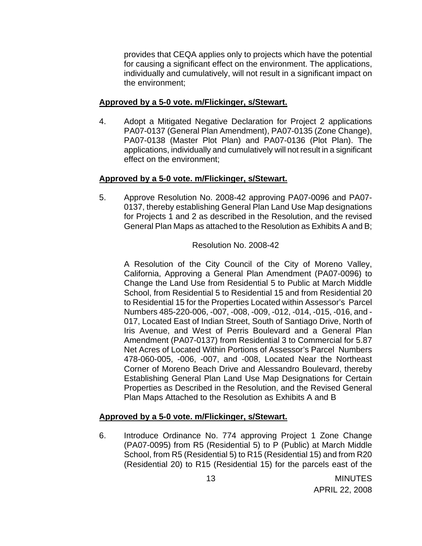provides that CEQA applies only to projects which have the potential for causing a significant effect on the environment. The applications, individually and cumulatively, will not result in a significant impact on the environment;

### **Approved by a 5-0 vote. m/Flickinger, s/Stewart.**

4. Adopt a Mitigated Negative Declaration for Project 2 applications PA07-0137 (General Plan Amendment), PA07-0135 (Zone Change), PA07-0138 (Master Plot Plan) and PA07-0136 (Plot Plan). The applications, individually and cumulatively will not result in a significant effect on the environment;

### **Approved by a 5-0 vote. m/Flickinger, s/Stewart.**

5. Approve Resolution No. 2008-42 approving PA07-0096 and PA07- 0137, thereby establishing General Plan Land Use Map designations for Projects 1 and 2 as described in the Resolution, and the revised General Plan Maps as attached to the Resolution as Exhibits A and B;

### Resolution No. 2008-42

A Resolution of the City Council of the City of Moreno Valley, California, Approving a General Plan Amendment (PA07-0096) to Change the Land Use from Residential 5 to Public at March Middle School, from Residential 5 to Residential 15 and from Residential 20 to Residential 15 for the Properties Located within Assessor's Parcel Numbers 485-220-006, -007, -008, -009, -012, -014, -015, -016, and - 017, Located East of Indian Street, South of Santiago Drive, North of Iris Avenue, and West of Perris Boulevard and a General Plan Amendment (PA07-0137) from Residential 3 to Commercial for 5.87 Net Acres of Located Within Portions of Assessor's Parcel Numbers 478-060-005, -006, -007, and -008, Located Near the Northeast Corner of Moreno Beach Drive and Alessandro Boulevard, thereby Establishing General Plan Land Use Map Designations for Certain Properties as Described in the Resolution, and the Revised General Plan Maps Attached to the Resolution as Exhibits A and B

# **Approved by a 5-0 vote. m/Flickinger, s/Stewart.**

6. Introduce Ordinance No. 774 approving Project 1 Zone Change (PA07-0095) from R5 (Residential 5) to P (Public) at March Middle School, from R5 (Residential 5) to R15 (Residential 15) and from R20 (Residential 20) to R15 (Residential 15) for the parcels east of the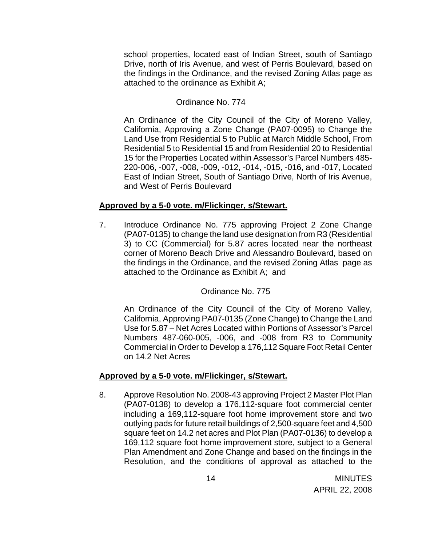school properties, located east of Indian Street, south of Santiago Drive, north of Iris Avenue, and west of Perris Boulevard, based on the findings in the Ordinance, and the revised Zoning Atlas page as attached to the ordinance as Exhibit A;

### Ordinance No. 774

An Ordinance of the City Council of the City of Moreno Valley, California, Approving a Zone Change (PA07-0095) to Change the Land Use from Residential 5 to Public at March Middle School, From Residential 5 to Residential 15 and from Residential 20 to Residential 15 for the Properties Located within Assessor's Parcel Numbers 485- 220-006, -007, -008, -009, -012, -014, -015, -016, and -017, Located East of Indian Street, South of Santiago Drive, North of Iris Avenue, and West of Perris Boulevard

#### **Approved by a 5-0 vote. m/Flickinger, s/Stewart.**

7. Introduce Ordinance No. 775 approving Project 2 Zone Change (PA07-0135) to change the land use designation from R3 (Residential 3) to CC (Commercial) for 5.87 acres located near the northeast corner of Moreno Beach Drive and Alessandro Boulevard, based on the findings in the Ordinance, and the revised Zoning Atlas page as attached to the Ordinance as Exhibit A; and

Ordinance No. 775

An Ordinance of the City Council of the City of Moreno Valley, California, Approving PA07-0135 (Zone Change) to Change the Land Use for 5.87 – Net Acres Located within Portions of Assessor's Parcel Numbers 487-060-005, -006, and -008 from R3 to Community Commercial in Order to Develop a 176,112 Square Foot Retail Center on 14.2 Net Acres

### **Approved by a 5-0 vote. m/Flickinger, s/Stewart.**

8. Approve Resolution No. 2008-43 approving Project 2 Master Plot Plan (PA07-0138) to develop a 176,112-square foot commercial center including a 169,112-square foot home improvement store and two outlying pads for future retail buildings of 2,500-square feet and 4,500 square feet on 14.2 net acres and Plot Plan (PA07-0136) to develop a 169,112 square foot home improvement store, subject to a General Plan Amendment and Zone Change and based on the findings in the Resolution, and the conditions of approval as attached to the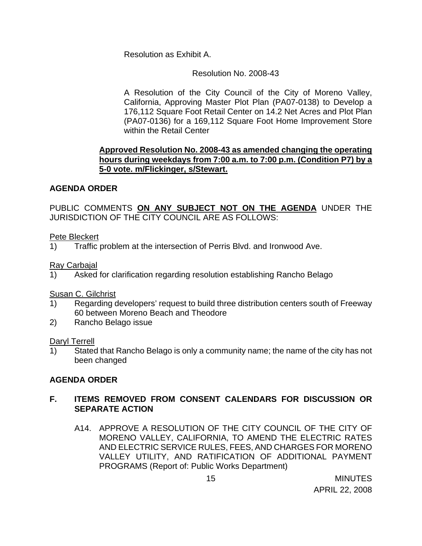Resolution as Exhibit A.

# Resolution No. 2008-43

A Resolution of the City Council of the City of Moreno Valley, California, Approving Master Plot Plan (PA07-0138) to Develop a 176,112 Square Foot Retail Center on 14.2 Net Acres and Plot Plan (PA07-0136) for a 169,112 Square Foot Home Improvement Store within the Retail Center

# **Approved Resolution No. 2008-43 as amended changing the operating hours during weekdays from 7:00 a.m. to 7:00 p.m. (Condition P7) by a 5-0 vote. m/Flickinger, s/Stewart.**

# **AGENDA ORDER**

PUBLIC COMMENTS **ON ANY SUBJECT NOT ON THE AGENDA** UNDER THE JURISDICTION OF THE CITY COUNCIL ARE AS FOLLOWS:

# Pete Bleckert

1) Traffic problem at the intersection of Perris Blvd. and Ironwood Ave.

Ray Carbajal

1) Asked for clarification regarding resolution establishing Rancho Belago

Susan C. Gilchrist

- 1) Regarding developers' request to build three distribution centers south of Freeway 60 between Moreno Beach and Theodore
- 2) Rancho Belago issue

# Daryl Terrell

1) Stated that Rancho Belago is only a community name; the name of the city has not been changed

# **AGENDA ORDER**

# **F. ITEMS REMOVED FROM CONSENT CALENDARS FOR DISCUSSION OR SEPARATE ACTION**

A14. APPROVE A RESOLUTION OF THE CITY COUNCIL OF THE CITY OF MORENO VALLEY, CALIFORNIA, TO AMEND THE ELECTRIC RATES AND ELECTRIC SERVICE RULES, FEES, AND CHARGES FOR MORENO VALLEY UTILITY, AND RATIFICATION OF ADDITIONAL PAYMENT PROGRAMS (Report of: Public Works Department)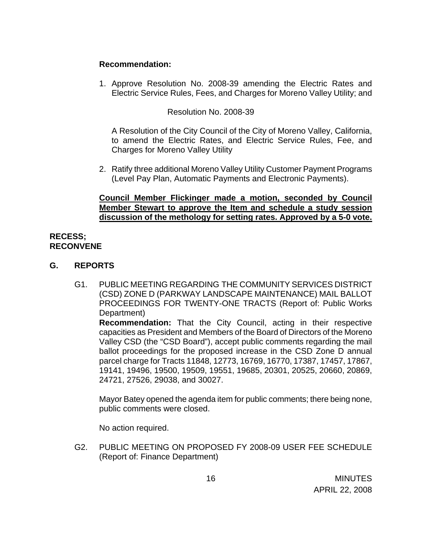### **Recommendation:**

1. Approve Resolution No. 2008-39 amending the Electric Rates and Electric Service Rules, Fees, and Charges for Moreno Valley Utility; and

### Resolution No. 2008-39

A Resolution of the City Council of the City of Moreno Valley, California, to amend the Electric Rates, and Electric Service Rules, Fee, and Charges for Moreno Valley Utility

2. Ratify three additional Moreno Valley Utility Customer Payment Programs (Level Pay Plan, Automatic Payments and Electronic Payments).

### **Council Member Flickinger made a motion, seconded by Council Member Stewart to approve the Item and schedule a study session discussion of the methology for setting rates. Approved by a 5-0 vote.**

### **RECESS; RECONVENE**

- **G. REPORTS**
	- G1. PUBLIC MEETING REGARDING THE COMMUNITY SERVICES DISTRICT (CSD) ZONE D (PARKWAY LANDSCAPE MAINTENANCE) MAIL BALLOT PROCEEDINGS FOR TWENTY-ONE TRACTS (Report of: Public Works Department)

**Recommendation:** That the City Council, acting in their respective capacities as President and Members of the Board of Directors of the Moreno Valley CSD (the "CSD Board"), accept public comments regarding the mail ballot proceedings for the proposed increase in the CSD Zone D annual parcel charge for Tracts 11848, 12773, 16769, 16770, 17387, 17457, 17867, 19141, 19496, 19500, 19509, 19551, 19685, 20301, 20525, 20660, 20869, 24721, 27526, 29038, and 30027.

Mayor Batey opened the agenda item for public comments; there being none, public comments were closed.

No action required.

G2. PUBLIC MEETING ON PROPOSED FY 2008-09 USER FEE SCHEDULE (Report of: Finance Department)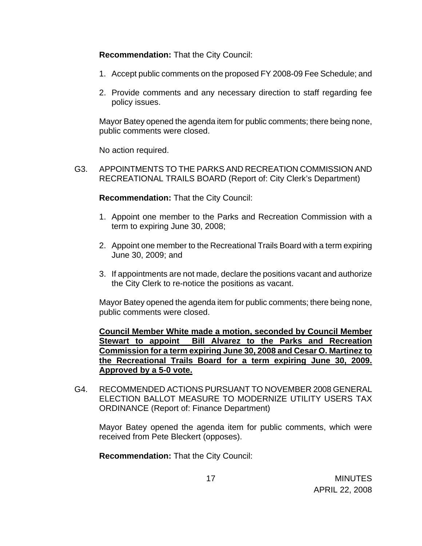**Recommendation:** That the City Council:

- 1. Accept public comments on the proposed FY 2008-09 Fee Schedule; and
- 2. Provide comments and any necessary direction to staff regarding fee policy issues.

Mayor Batey opened the agenda item for public comments; there being none, public comments were closed.

No action required.

G3. APPOINTMENTS TO THE PARKS AND RECREATION COMMISSION AND RECREATIONAL TRAILS BOARD (Report of: City Clerk's Department)

**Recommendation:** That the City Council:

- 1. Appoint one member to the Parks and Recreation Commission with a term to expiring June 30, 2008;
- 2. Appoint one member to the Recreational Trails Board with a term expiring June 30, 2009; and
- 3. If appointments are not made, declare the positions vacant and authorize the City Clerk to re-notice the positions as vacant.

Mayor Batey opened the agenda item for public comments; there being none, public comments were closed.

**Council Member White made a motion, seconded by Council Member Stewart to appoint Bill Alvarez to the Parks and Recreation Commission for a term expiring June 30, 2008 and Cesar O. Martinez to the Recreational Trails Board for a term expiring June 30, 2009. Approved by a 5-0 vote.**

G4. RECOMMENDED ACTIONS PURSUANT TO NOVEMBER 2008 GENERAL ELECTION BALLOT MEASURE TO MODERNIZE UTILITY USERS TAX ORDINANCE (Report of: Finance Department)

 Mayor Batey opened the agenda item for public comments, which were received from Pete Bleckert (opposes).

**Recommendation:** That the City Council: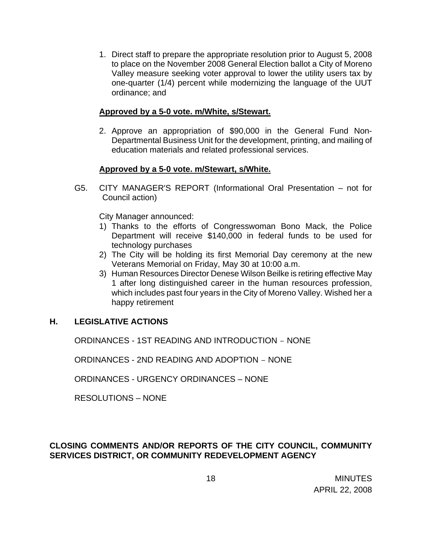1. Direct staff to prepare the appropriate resolution prior to August 5, 2008 to place on the November 2008 General Election ballot a City of Moreno Valley measure seeking voter approval to lower the utility users tax by one-quarter (1/4) percent while modernizing the language of the UUT ordinance; and

### **Approved by a 5-0 vote. m/White, s/Stewart.**

2. Approve an appropriation of \$90,000 in the General Fund Non-Departmental Business Unit for the development, printing, and mailing of education materials and related professional services.

# **Approved by a 5-0 vote. m/Stewart, s/White.**

 G5. CITY MANAGER'S REPORT (Informational Oral Presentation – not for Council action)

### City Manager announced:

- 1) Thanks to the efforts of Congresswoman Bono Mack, the Police Department will receive \$140,000 in federal funds to be used for technology purchases
- 2) The City will be holding its first Memorial Day ceremony at the new Veterans Memorial on Friday, May 30 at 10:00 a.m.
- 3) Human Resources Director Denese Wilson Beilke is retiring effective May 1 after long distinguished career in the human resources profession, which includes past four years in the City of Moreno Valley. Wished her a happy retirement

# **H. LEGISLATIVE ACTIONS**

ORDINANCES - 1ST READING AND INTRODUCTION – NONE

ORDINANCES - 2ND READING AND ADOPTION – NONE

ORDINANCES - URGENCY ORDINANCES – NONE

RESOLUTIONS – NONE

# **CLOSING COMMENTS AND/OR REPORTS OF THE CITY COUNCIL, COMMUNITY SERVICES DISTRICT, OR COMMUNITY REDEVELOPMENT AGENCY**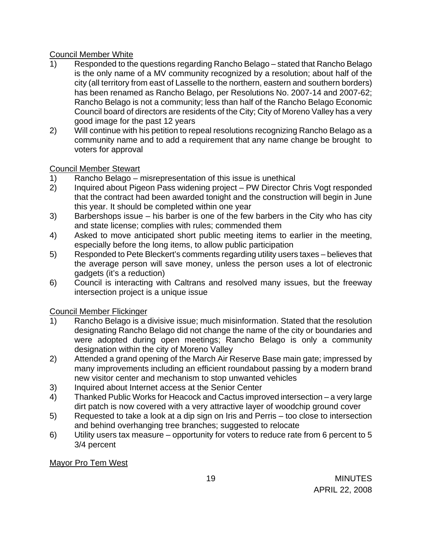# Council Member White

- 1) Responded to the questions regarding Rancho Belago stated that Rancho Belago is the only name of a MV community recognized by a resolution; about half of the city (all territory from east of Lasselle to the northern, eastern and southern borders) has been renamed as Rancho Belago, per Resolutions No. 2007-14 and 2007-62; Rancho Belago is not a community; less than half of the Rancho Belago Economic Council board of directors are residents of the City; City of Moreno Valley has a very good image for the past 12 years
- 2) Will continue with his petition to repeal resolutions recognizing Rancho Belago as a community name and to add a requirement that any name change be brought to voters for approval

# Council Member Stewart

- 1) Rancho Belago misrepresentation of this issue is unethical
- 2) Inquired about Pigeon Pass widening project PW Director Chris Vogt responded that the contract had been awarded tonight and the construction will begin in June this year. It should be completed within one year
- 3) Barbershops issue his barber is one of the few barbers in the City who has city and state license; complies with rules; commended them
- 4) Asked to move anticipated short public meeting items to earlier in the meeting, especially before the long items, to allow public participation
- 5) Responded to Pete Bleckert's comments regarding utility users taxes believes that the average person will save money, unless the person uses a lot of electronic gadgets (it's a reduction)
- 6) Council is interacting with Caltrans and resolved many issues, but the freeway intersection project is a unique issue

Council Member Flickinger

- 1) Rancho Belago is a divisive issue; much misinformation. Stated that the resolution designating Rancho Belago did not change the name of the city or boundaries and were adopted during open meetings; Rancho Belago is only a community designation within the city of Moreno Valley
- 2) Attended a grand opening of the March Air Reserve Base main gate; impressed by many improvements including an efficient roundabout passing by a modern brand new visitor center and mechanism to stop unwanted vehicles
- 3) Inquired about Internet access at the Senior Center
- 4) Thanked Public Works for Heacock and Cactus improved intersection a very large dirt patch is now covered with a very attractive layer of woodchip ground cover
- 5) Requested to take a look at a dip sign on Iris and Perris too close to intersection and behind overhanging tree branches; suggested to relocate
- 6) Utility users tax measure opportunity for voters to reduce rate from 6 percent to 5 3/4 percent

Mayor Pro Tem West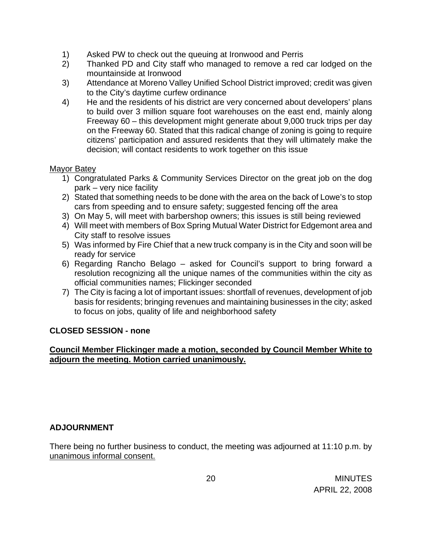- 1) Asked PW to check out the queuing at Ironwood and Perris
- 2) Thanked PD and City staff who managed to remove a red car lodged on the mountainside at Ironwood
- 3) Attendance at Moreno Valley Unified School District improved; credit was given to the City's daytime curfew ordinance
- 4) He and the residents of his district are very concerned about developers' plans to build over 3 million square foot warehouses on the east end, mainly along Freeway 60 – this development might generate about 9,000 truck trips per day on the Freeway 60. Stated that this radical change of zoning is going to require citizens' participation and assured residents that they will ultimately make the decision; will contact residents to work together on this issue

### Mayor Batey

- 1) Congratulated Parks & Community Services Director on the great job on the dog park – very nice facility
- 2) Stated that something needs to be done with the area on the back of Lowe's to stop cars from speeding and to ensure safety; suggested fencing off the area
- 3) On May 5, will meet with barbershop owners; this issues is still being reviewed
- 4) Will meet with members of Box Spring Mutual Water District for Edgemont area and City staff to resolve issues
- 5) Was informed by Fire Chief that a new truck company is in the City and soon will be ready for service
- 6) Regarding Rancho Belago asked for Council's support to bring forward a resolution recognizing all the unique names of the communities within the city as official communities names; Flickinger seconded
- 7) The City is facing a lot of important issues: shortfall of revenues, development of job basis for residents; bringing revenues and maintaining businesses in the city; asked to focus on jobs, quality of life and neighborhood safety

# **CLOSED SESSION - none**

# **Council Member Flickinger made a motion, seconded by Council Member White to adjourn the meeting. Motion carried unanimously.**

### **ADJOURNMENT**

There being no further business to conduct, the meeting was adjourned at 11:10 p.m. by unanimous informal consent.